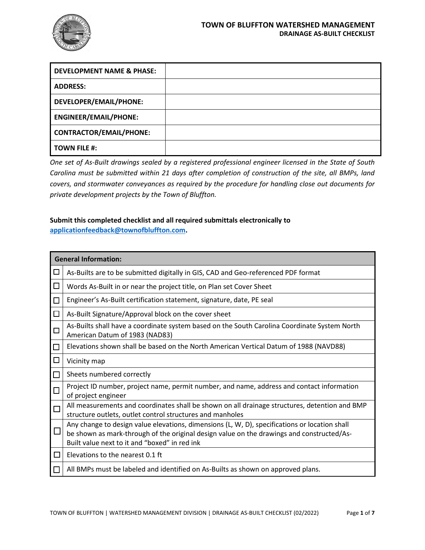

| <b>DEVELOPMENT NAME &amp; PHASE:</b> |  |
|--------------------------------------|--|
| <b>ADDRESS:</b>                      |  |
| DEVELOPER/EMAIL/PHONE:               |  |
| <b>ENGINEER/EMAIL/PHONE:</b>         |  |
| <b>CONTRACTOR/EMAIL/PHONE:</b>       |  |
| <b>TOWN FILE #:</b>                  |  |

*One set of As-Built drawings sealed by a registered professional engineer licensed in the State of South Carolina must be submitted within 21 days after completion of construction of the site, all BMPs, land covers, and stormwater conveyances as required by the procedure for handling close out documents for private development projects by the Town of Bluffton.* 

# **Submit this completed checklist and all required submittals electronically to**

**applicationfeedback@townofbluffton.com.** 

|        | <b>General Information:</b>                                                                                                                                                                                                                 |  |  |
|--------|---------------------------------------------------------------------------------------------------------------------------------------------------------------------------------------------------------------------------------------------|--|--|
| $\Box$ | As-Builts are to be submitted digitally in GIS, CAD and Geo-referenced PDF format                                                                                                                                                           |  |  |
| □      | Words As-Built in or near the project title, on Plan set Cover Sheet                                                                                                                                                                        |  |  |
| $\Box$ | Engineer's As-Built certification statement, signature, date, PE seal                                                                                                                                                                       |  |  |
| $\Box$ | As-Built Signature/Approval block on the cover sheet                                                                                                                                                                                        |  |  |
| $\Box$ | As-Builts shall have a coordinate system based on the South Carolina Coordinate System North<br>American Datum of 1983 (NAD83)                                                                                                              |  |  |
| $\Box$ | Elevations shown shall be based on the North American Vertical Datum of 1988 (NAVD88)                                                                                                                                                       |  |  |
| $\Box$ | Vicinity map                                                                                                                                                                                                                                |  |  |
| $\Box$ | Sheets numbered correctly                                                                                                                                                                                                                   |  |  |
| $\Box$ | Project ID number, project name, permit number, and name, address and contact information<br>of project engineer                                                                                                                            |  |  |
| $\Box$ | All measurements and coordinates shall be shown on all drainage structures, detention and BMP<br>structure outlets, outlet control structures and manholes                                                                                  |  |  |
| $\Box$ | Any change to design value elevations, dimensions (L, W, D), specifications or location shall<br>be shown as mark-through of the original design value on the drawings and constructed/As-<br>Built value next to it and "boxed" in red ink |  |  |
| □      | Elevations to the nearest 0.1 ft                                                                                                                                                                                                            |  |  |
| $\Box$ | All BMPs must be labeled and identified on As-Builts as shown on approved plans.                                                                                                                                                            |  |  |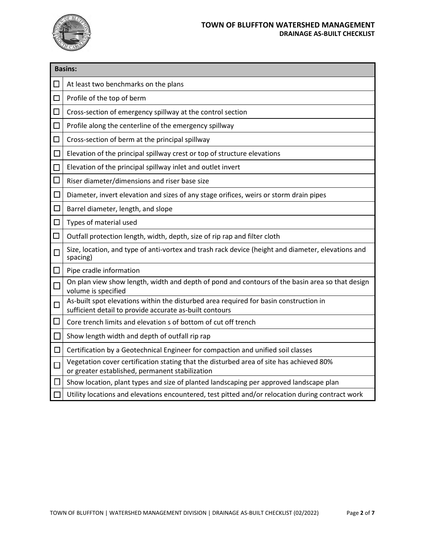

## **TOWN OF BLUFFTON WATERSHED MANAGEMENT DRAINAGE AS-BUILT CHECKLIST**

|              | <b>Basins:</b>                                                                                                                                   |  |  |
|--------------|--------------------------------------------------------------------------------------------------------------------------------------------------|--|--|
| $\Box$       | At least two benchmarks on the plans                                                                                                             |  |  |
| $\Box$       | Profile of the top of berm                                                                                                                       |  |  |
| $\Box$       | Cross-section of emergency spillway at the control section                                                                                       |  |  |
| $\Box$       | Profile along the centerline of the emergency spillway                                                                                           |  |  |
| $\Box$       | Cross-section of berm at the principal spillway                                                                                                  |  |  |
|              | Elevation of the principal spillway crest or top of structure elevations                                                                         |  |  |
| $\Box$       | Elevation of the principal spillway inlet and outlet invert                                                                                      |  |  |
| $\Box$       | Riser diameter/dimensions and riser base size                                                                                                    |  |  |
|              | Diameter, invert elevation and sizes of any stage orifices, weirs or storm drain pipes                                                           |  |  |
| ⊑            | Barrel diameter, length, and slope                                                                                                               |  |  |
| $\Box$       | Types of material used                                                                                                                           |  |  |
| $\Box$       | Outfall protection length, width, depth, size of rip rap and filter cloth                                                                        |  |  |
| $\Box$       | Size, location, and type of anti-vortex and trash rack device (height and diameter, elevations and<br>spacing)                                   |  |  |
| $\Box$       | Pipe cradle information                                                                                                                          |  |  |
|              | On plan view show length, width and depth of pond and contours of the basin area so that design<br>volume is specified                           |  |  |
| $\Box$       | As-built spot elevations within the disturbed area required for basin construction in<br>sufficient detail to provide accurate as-built contours |  |  |
| $\Box$       | Core trench limits and elevation s of bottom of cut off trench                                                                                   |  |  |
| $\mathbf{L}$ | Show length width and depth of outfall rip rap                                                                                                   |  |  |
| $\Box$       | Certification by a Geotechnical Engineer for compaction and unified soil classes                                                                 |  |  |
| $\Box$       | Vegetation cover certification stating that the disturbed area of site has achieved 80%<br>or greater established, permanent stabilization       |  |  |
|              | Show location, plant types and size of planted landscaping per approved landscape plan                                                           |  |  |
|              | Utility locations and elevations encountered, test pitted and/or relocation during contract work                                                 |  |  |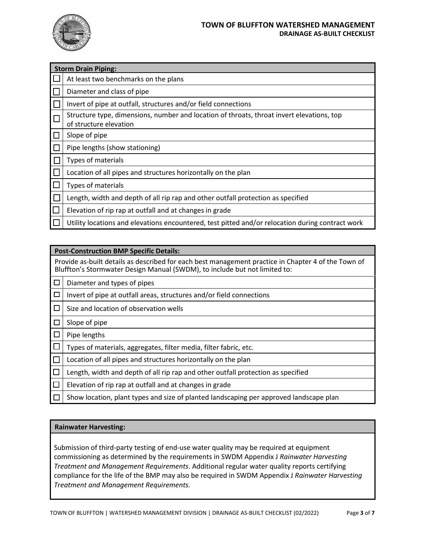

|        | <b>Storm Drain Piping:</b>                                                                                          |  |  |
|--------|---------------------------------------------------------------------------------------------------------------------|--|--|
|        | At least two benchmarks on the plans                                                                                |  |  |
|        | Diameter and class of pipe                                                                                          |  |  |
|        | Invert of pipe at outfall, structures and/or field connections                                                      |  |  |
|        | Structure type, dimensions, number and location of throats, throat invert elevations, top<br>of structure elevation |  |  |
| $\Box$ | Slope of pipe                                                                                                       |  |  |
|        | Pipe lengths (show stationing)                                                                                      |  |  |
|        | Types of materials                                                                                                  |  |  |
|        | Location of all pipes and structures horizontally on the plan                                                       |  |  |
|        | Types of materials                                                                                                  |  |  |
|        | Length, width and depth of all rip rap and other outfall protection as specified                                    |  |  |
|        | Elevation of rip rap at outfall and at changes in grade                                                             |  |  |
|        | Utility locations and elevations encountered, test pitted and/or relocation during contract work                    |  |  |

|        | <b>Post-Construction BMP Specific Details:</b>                                                                                                                                    |  |  |
|--------|-----------------------------------------------------------------------------------------------------------------------------------------------------------------------------------|--|--|
|        | Provide as-built details as described for each best management practice in Chapter 4 of the Town of<br>Bluffton's Stormwater Design Manual (SWDM), to include but not limited to: |  |  |
| L      | Diameter and types of pipes                                                                                                                                                       |  |  |
| $\Box$ | Invert of pipe at outfall areas, structures and/or field connections                                                                                                              |  |  |
| $\Box$ | Size and location of observation wells                                                                                                                                            |  |  |
| $\Box$ | Slope of pipe                                                                                                                                                                     |  |  |
|        | Pipe lengths                                                                                                                                                                      |  |  |
|        | Types of materials, aggregates, filter media, filter fabric, etc.                                                                                                                 |  |  |
|        | Location of all pipes and structures horizontally on the plan                                                                                                                     |  |  |
|        | Length, width and depth of all rip rap and other outfall protection as specified                                                                                                  |  |  |
|        | Elevation of rip rap at outfall and at changes in grade                                                                                                                           |  |  |
|        | Show location, plant types and size of planted landscaping per approved landscape plan                                                                                            |  |  |

## **Rainwater Harvesting:**

Submission of third-party testing of end-use water quality may be required at equipment commissioning as determined by the requirements in SWDM Appendix J *Rainwater Harvesting Treatment and Management Requirements*. Additional regular water quality reports certifying compliance for the life of the BMP may also be required in SWDM Appendix J *Rainwater Harvesting Treatment and Management Requirements.*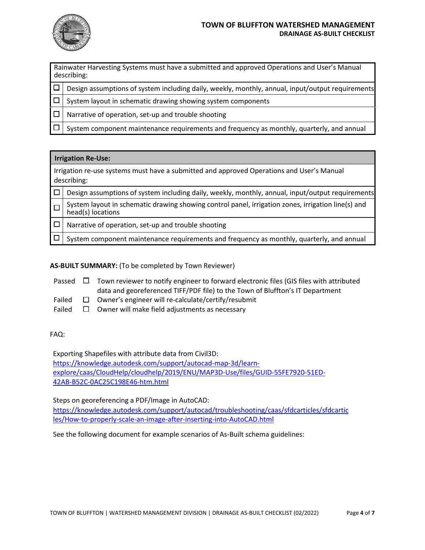

#### **TOWN OF BLUFFTON WATERSHED MANAGEMENT DRAINAGE AS-BUILT CHECKLIST**

Rainwater Harvesting Systems must have a submitted and approved Operations and User's Manual describing:

 $\Box$  Design assumptions of system including daily, weekly, monthly, annual, input/output requirements

 $\Box$  System layout in schematic drawing showing system components

 $\Box$  Narrative of operation, set-up and trouble shooting

 $\Box$  System component maintenance requirements and frequency as monthly, quarterly, and annual

| <b>Irrigation Re-Use:</b>                                                                                |                                                                                                                         |  |
|----------------------------------------------------------------------------------------------------------|-------------------------------------------------------------------------------------------------------------------------|--|
| Irrigation re-use systems must have a submitted and approved Operations and User's Manual<br>describing: |                                                                                                                         |  |
|                                                                                                          | Design assumptions of system including daily, weekly, monthly, annual, input/output requirements                        |  |
|                                                                                                          | System layout in schematic drawing showing control panel, irrigation zones, irrigation line(s) and<br>head(s) locations |  |
|                                                                                                          | Narrative of operation, set-up and trouble shooting                                                                     |  |
|                                                                                                          | System component maintenance requirements and frequency as monthly, quarterly, and annual                               |  |

### **AS-BUILT SUMMARY:** (To be completed by Town Reviewer)

Passed  $\Box$  Town reviewer to notify engineer to forward electronic files (GIS files with attributed data and georeferenced TIFF/PDF file) to the Town of Bluffton's IT Department

- Failed  $\Box$  Owner's engineer will re-calculate/certify/resubmit
- Failed  $\square$  Owner will make field adjustments as necessary

#### FAQ:

Exporting Shapefiles with attribute data from Civil3D: https://knowledge.autodesk.com/support/autocad-map-3d/learnexplore/caas/CloudHelp/cloudhelp/2019/ENU/MAP3D-Use/files/GUID-55FE7920-51ED-42AB-B52C-0AC25C198E46-htm.html

Steps on georeferencing a PDF/Image in AutoCAD:

https://knowledge.autodesk.com/support/autocad/troubleshooting/caas/sfdcarticles/sfdcartic les/How-to-properly-scale-an-image-after-inserting-into-AutoCAD.html

See the following document for example scenarios of As-Built schema guidelines: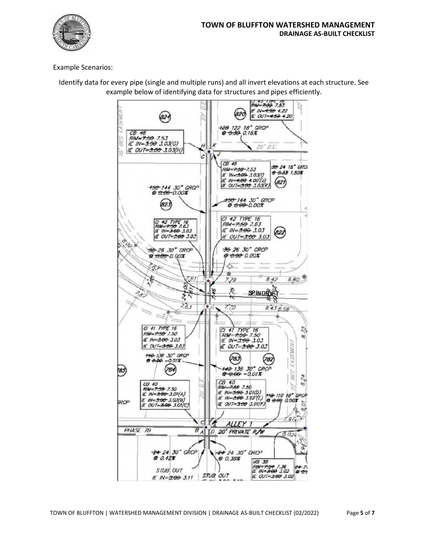

## Example Scenarios:



Identify data for every pipe (single and multiple runs) and all invert elevations at each structure. See example below of identifying data for structures and pipes efficiently.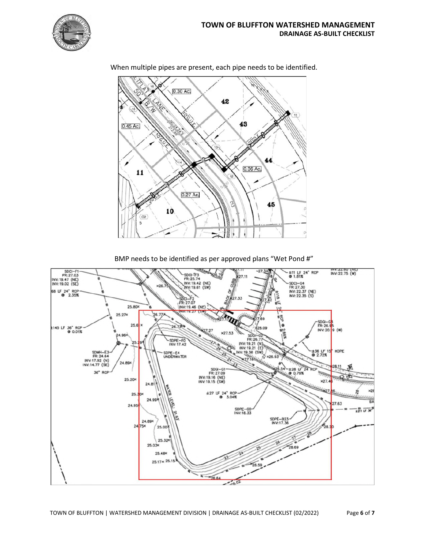



When multiple pipes are present, each pipe needs to be identified.

BMP needs to be identified as per approved plans "Wet Pond #"